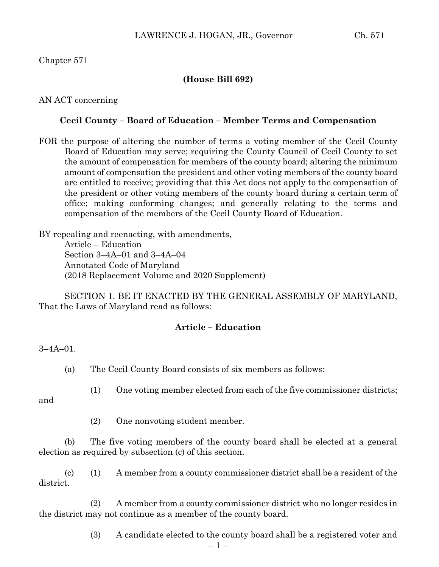# Chapter 571

## **(House Bill 692)**

AN ACT concerning

### **Cecil County – Board of Education – Member Terms and Compensation**

FOR the purpose of altering the number of terms a voting member of the Cecil County Board of Education may serve; requiring the County Council of Cecil County to set the amount of compensation for members of the county board; altering the minimum amount of compensation the president and other voting members of the county board are entitled to receive; providing that this Act does not apply to the compensation of the president or other voting members of the county board during a certain term of office; making conforming changes; and generally relating to the terms and compensation of the members of the Cecil County Board of Education.

BY repealing and reenacting, with amendments, Article – Education Section 3–4A–01 and 3–4A–04 Annotated Code of Maryland (2018 Replacement Volume and 2020 Supplement)

SECTION 1. BE IT ENACTED BY THE GENERAL ASSEMBLY OF MARYLAND, That the Laws of Maryland read as follows:

#### **Article – Education**

 $3 - 4A - 01$ .

(a) The Cecil County Board consists of six members as follows:

and

(1) One voting member elected from each of the five commissioner districts;

(2) One nonvoting student member.

(b) The five voting members of the county board shall be elected at a general election as required by subsection (c) of this section.

(c) (1) A member from a county commissioner district shall be a resident of the district.

(2) A member from a county commissioner district who no longer resides in the district may not continue as a member of the county board.

(3) A candidate elected to the county board shall be a registered voter and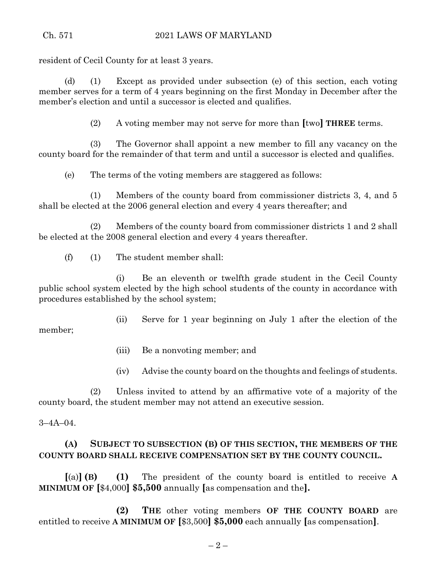resident of Cecil County for at least 3 years.

(d) (1) Except as provided under subsection (e) of this section, each voting member serves for a term of 4 years beginning on the first Monday in December after the member's election and until a successor is elected and qualifies.

(2) A voting member may not serve for more than **[**two**] THREE** terms.

(3) The Governor shall appoint a new member to fill any vacancy on the county board for the remainder of that term and until a successor is elected and qualifies.

(e) The terms of the voting members are staggered as follows:

(1) Members of the county board from commissioner districts 3, 4, and 5 shall be elected at the 2006 general election and every 4 years thereafter; and

(2) Members of the county board from commissioner districts 1 and 2 shall be elected at the 2008 general election and every 4 years thereafter.

(f) (1) The student member shall:

(i) Be an eleventh or twelfth grade student in the Cecil County public school system elected by the high school students of the county in accordance with procedures established by the school system;

(ii) Serve for 1 year beginning on July 1 after the election of the

- (iii) Be a nonvoting member; and
- (iv) Advise the county board on the thoughts and feelings of students.

(2) Unless invited to attend by an affirmative vote of a majority of the county board, the student member may not attend an executive session.

 $3 - 4A - 04$ .

member;

# **(A) SUBJECT TO SUBSECTION (B) OF THIS SECTION, THE MEMBERS OF THE COUNTY BOARD SHALL RECEIVE COMPENSATION SET BY THE COUNTY COUNCIL.**

**[**(a)**] (B) (1)** The president of the county board is entitled to receive **A MINIMUM OF [**\$4,000**] \$5,500** annually **[**as compensation and the**].**

**(2) THE** other voting members **OF THE COUNTY BOARD** are entitled to receive **A MINIMUM OF [**\$3,500**] \$5,000** each annually **[**as compensation**]**.